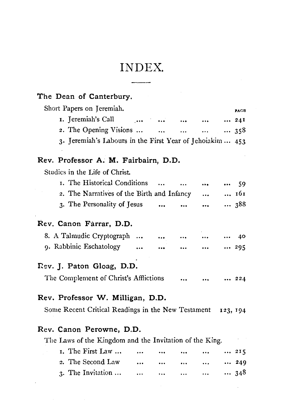## INDEX.

| Short Papers on Jeremiah.                                                              |          |           |                     |          | PAGE |
|----------------------------------------------------------------------------------------|----------|-----------|---------------------|----------|------|
| 1. Jeremiah's Call                                                                     |          |           | $\cdots$            |          | 241  |
| 2. The Opening Visions                                                                 |          |           | $\dots$ $\dots$ 358 |          |      |
| 3. Jeremiah's Labours in the First Year of Jehoiakim  453                              |          |           |                     |          |      |
| Rev. Professor A. M. Fairbairn, D.D.                                                   |          |           |                     |          |      |
| Studies in the Life of Christ.                                                         |          |           |                     |          |      |
| I. The Historical Conditions                                                           |          | $\ddotsc$ |                     |          | - 59 |
| 2. The Narratives of the Birth and Infancy                                             |          |           | $\ddotsc$           |          | 161  |
| 3. The Personality of Jesus                                                            |          |           | $\ddotsc$           |          | 388  |
| Rev. Canon Farrar, D.D.                                                                |          |           |                     |          |      |
| 8. A Talmudic Cryptograph                                                              |          | $\cdots$  |                     |          | 40   |
| 9. Rabbinic Eschatology                                                                | $\cdots$ |           |                     |          | 295  |
| Rev. J. Paton Gloag, D.D.                                                              |          |           |                     |          |      |
| The Complement of Christ's Afflictions                                                 |          |           |                     |          | 224  |
|                                                                                        |          |           |                     |          |      |
|                                                                                        |          |           |                     |          |      |
| Rev. Professor W. Milligan, D.D.<br>Some Recent Critical Readings in the New Testament |          |           |                     | 123, 194 |      |
| Rev. Canon Perowne, D.D.                                                               |          |           |                     |          |      |
| The Laws of the Kingdom and the Invitation of the King.                                |          |           |                     |          |      |
| 1. The First Law                                                                       |          |           |                     |          | 215  |
| 2. The Second Law                                                                      | $\cdots$ |           | $\cdots$            |          | 249  |
| 3. The Invitation                                                                      |          |           |                     |          | 348  |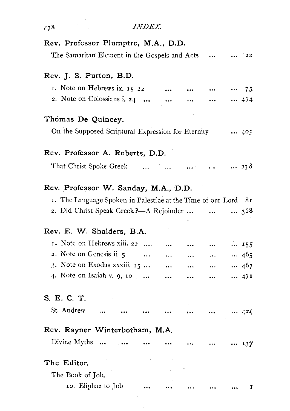| 478                                                            | INDEX. |           |  |              |              |
|----------------------------------------------------------------|--------|-----------|--|--------------|--------------|
| Rev. Professor Plumptre, M.A., D.D.                            |        |           |  |              |              |
| The Samaritan Element in the Gospels and Acts                  |        |           |  |              | 22.          |
| Rev. J. S. Purton, B.D.                                        |        |           |  |              |              |
| 1. Note on Hebrews ix. $15-22$                                 |        |           |  |              | 73           |
| 2. Note on Colossians i. 24                                    |        |           |  |              | --- 474      |
| Thomas De Quincey.                                             |        |           |  |              |              |
| On the Supposed Scriptural Expression for Eternity  405        |        |           |  |              |              |
| Rev. Professor A. Roberts, D.D.                                |        |           |  |              |              |
| That Christ Spoke Greek                                        |        | $\sim$    |  | $\ldots$ 278 |              |
| Rev. Professor W. Sanday, M.A., D.D.                           |        |           |  |              |              |
| 1. The Language Spoken in Palestine at the Time of our Lord 81 |        |           |  |              |              |
| 2. Did Christ Speak Greek ?- A Rejoinder                       |        |           |  |              | $\ldots$ 308 |
| Rev. E. W. Shalders, B.A.                                      |        |           |  |              |              |
| 1. Note on Hebrews xiii. 22                                    |        |           |  |              | $\cdots$ 155 |
| 2. Note on Genesis ii. $5 \ldots$ .                            |        | $\ddotsc$ |  |              | 465          |
| 3. Note on Exodus xxxiii. 15                                   |        |           |  |              | 467          |
| 4. Note on Isaiah v. 9, 10                                     |        | $\ddotsc$ |  |              | $\cdots$ 471 |
| S. E. C. T.                                                    |        |           |  |              |              |
| St. Andrew                                                     |        |           |  |              | $\cdots$ 424 |
| Rev. Rayner Winterbotham, M.A.                                 |        |           |  |              |              |
| Divine Myths                                                   |        |           |  |              | 137          |
| The Editor.                                                    |        |           |  |              |              |
| The Book of Job.                                               |        |           |  |              |              |
| 10. Eliphaz to Job                                             |        |           |  |              | I            |

 $\sim$ 

 $\mathcal{L}^{\text{max}}_{\text{max}}$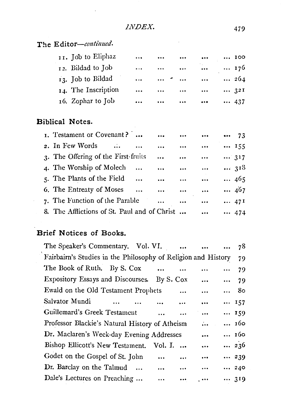The *Editor-continued*.

J.

| 11. Job to Eliphaz  | $\cdots$  | $\cdots$                 |           |                         | 100          |
|---------------------|-----------|--------------------------|-----------|-------------------------|--------------|
| 12. Bildad to Job   | $\cdots$  | $\cdots$                 | $\ddotsc$ | $\cdots$                | $\cdots$ 176 |
| 13. Job to Bildad   | $\cdots$  | $\cdots$ $\sim$ $\cdots$ |           | $\ddotsc$               | $\cdots$ 264 |
| 14. The Inscription | $\ddotsc$ | $\cdots$                 | $\cdots$  | $\cdots$                | 321          |
| 16. Zophar to Job   | $\cdots$  | $\cdots$                 | $\cdots$  | $\bullet\bullet\bullet$ | 437          |

 $\sim 10^{11}$  m  $^{-1}$ 

#### **Biblical Notes.**

| 1. Testament or Covenant?                    |               |                                                                                                                                                                                                                              | <b>Contract Contract Contract</b> | $\cdots$  | 73  |
|----------------------------------------------|---------------|------------------------------------------------------------------------------------------------------------------------------------------------------------------------------------------------------------------------------|-----------------------------------|-----------|-----|
| 2. In Few Words $\ldots$ $\ldots$            |               | $\ddotsc$                                                                                                                                                                                                                    |                                   |           | 155 |
| 3. The Offering of the First-fruits          |               | $\ddotsc$                                                                                                                                                                                                                    | $\ddotsc$                         | $\cdots$  | 317 |
| 4. The Worship of Molech                     | $\sim$ $\sim$ | $\ddotsc$                                                                                                                                                                                                                    | $\ddotsc$                         | $\cdots$  | 318 |
| 5. The Plants of the Field                   |               | $\ddotsc$                                                                                                                                                                                                                    | $\ddotsc$                         | $\cdots$  | 465 |
| 6. The Entreaty of Moses                     |               | $\mathbf{1}_{\mathbf{1},\mathbf{2}}\mathbf{1}_{\mathbf{2}}\mathbf{1}_{\mathbf{3}}\mathbf{1}_{\mathbf{4}}\mathbf{1}_{\mathbf{5}}\mathbf{1}_{\mathbf{6}}\mathbf{1}_{\mathbf{7}}\mathbf{1}_{\mathbf{8}}\mathbf{1}_{\mathbf{9}}$ |                                   | $\ddotsc$ | 467 |
| 7. The Function of the Parable               |               |                                                                                                                                                                                                                              |                                   | $\cdots$  | 47I |
| 8. The Afflictions of St. Paul and of Christ |               |                                                                                                                                                                                                                              |                                   |           | 474 |

### **Brief Notices of Books.**

| The Speaker's Commentary. Vol. VI.                            |                       | $\ddotsc$ | $\ddotsc$ |          | 78          |
|---------------------------------------------------------------|-----------------------|-----------|-----------|----------|-------------|
| Fairbairn's Studies in the Philosophy of Religion and History |                       |           |           |          | 79          |
| The Book of Ruth. By S. Cox                                   | $\ddotsc$             | $\ddotsc$ | $\cdots$  | $\cdots$ | 79          |
| Expository Essays and Discourses. By S. Cox                   |                       |           | $\cdots$  |          | $\cdots$ 79 |
| Ewald on the Old Testament Prophets                           |                       | $\cdots$  | $\ddotsc$ |          | 80          |
| Salvator Mundi<br>$\ddotsc$                                   |                       | $\cdots$  | $\cdots$  |          | 157         |
| Guillemard's Greek Testament                                  | $\dddot{\phantom{0}}$ |           | $\ddotsc$ |          | 159         |
| Professor Blackie's Natural History of Atheism                |                       |           | $\ldots$  |          | 160         |
| Dr. Maclaren's Week-day Evening Addresses                     |                       |           | $\ddotsc$ |          | 160         |
| Bishop Ellicott's New Testament. Vol. I.                      |                       |           |           |          | 236         |
| Godet on the Gospel of St. John                               | $\cdots$              |           | $\cdots$  |          | 239         |
| Dr. Barclay on the Talmud                                     | $\ddotsc$             | $\cdots$  | $\cdots$  |          | 240         |
| Dale's Lectures on Preaching                                  | $\cdots$              | $\cdots$  | .         |          | 319         |
|                                                               |                       |           |           |          |             |